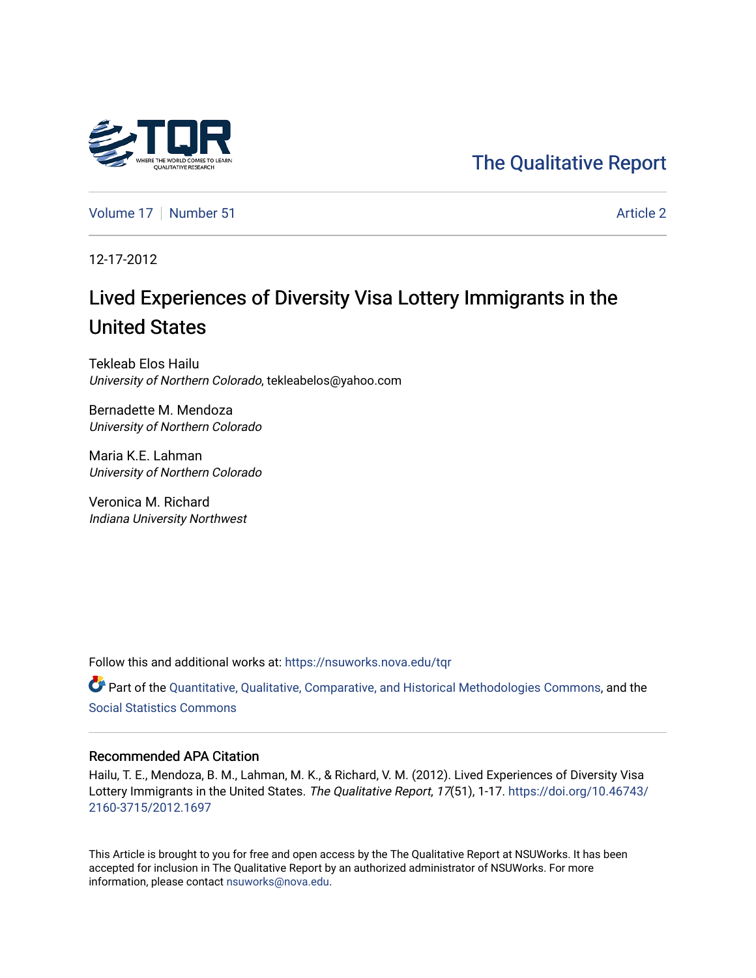# [The Qualitative Report](https://nsuworks.nova.edu/tqr)

[Volume 17](https://nsuworks.nova.edu/tqr/vol17) [Number 51](https://nsuworks.nova.edu/tqr/vol17/iss51) Article 2

12-17-2012

# Lived Experiences of Diversity Visa Lottery Immigrants in the United States

Tekleab Elos Hailu University of Northern Colorado, tekleabelos@yahoo.com

Bernadette M. Mendoza University of Northern Colorado

Maria K.E. Lahman University of Northern Colorado

Veronica M. Richard Indiana University Northwest

Follow this and additional works at: [https://nsuworks.nova.edu/tqr](https://nsuworks.nova.edu/tqr?utm_source=nsuworks.nova.edu%2Ftqr%2Fvol17%2Fiss51%2F2&utm_medium=PDF&utm_campaign=PDFCoverPages) 

Part of the [Quantitative, Qualitative, Comparative, and Historical Methodologies Commons,](http://network.bepress.com/hgg/discipline/423?utm_source=nsuworks.nova.edu%2Ftqr%2Fvol17%2Fiss51%2F2&utm_medium=PDF&utm_campaign=PDFCoverPages) and the [Social Statistics Commons](http://network.bepress.com/hgg/discipline/1275?utm_source=nsuworks.nova.edu%2Ftqr%2Fvol17%2Fiss51%2F2&utm_medium=PDF&utm_campaign=PDFCoverPages) 

## Recommended APA Citation

Hailu, T. E., Mendoza, B. M., Lahman, M. K., & Richard, V. M. (2012). Lived Experiences of Diversity Visa Lottery Immigrants in the United States. The Qualitative Report, 17(51), 1-17. [https://doi.org/10.46743/](https://doi.org/10.46743/2160-3715/2012.1697) [2160-3715/2012.1697](https://doi.org/10.46743/2160-3715/2012.1697)

This Article is brought to you for free and open access by the The Qualitative Report at NSUWorks. It has been accepted for inclusion in The Qualitative Report by an authorized administrator of NSUWorks. For more information, please contact [nsuworks@nova.edu.](mailto:nsuworks@nova.edu)

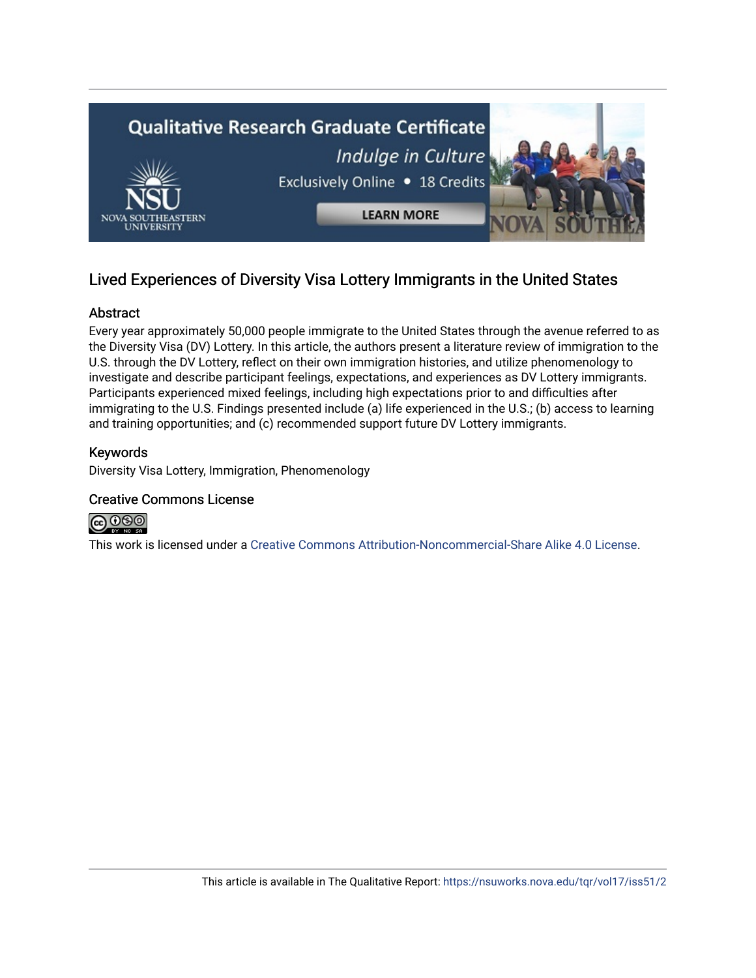

# Lived Experiences of Diversity Visa Lottery Immigrants in the United States

# Abstract

Every year approximately 50,000 people immigrate to the United States through the avenue referred to as the Diversity Visa (DV) Lottery. In this article, the authors present a literature review of immigration to the U.S. through the DV Lottery, reflect on their own immigration histories, and utilize phenomenology to investigate and describe participant feelings, expectations, and experiences as DV Lottery immigrants. Participants experienced mixed feelings, including high expectations prior to and difficulties after immigrating to the U.S. Findings presented include (a) life experienced in the U.S.; (b) access to learning and training opportunities; and (c) recommended support future DV Lottery immigrants.

## Keywords

Diversity Visa Lottery, Immigration, Phenomenology

## Creative Commons License



This work is licensed under a [Creative Commons Attribution-Noncommercial-Share Alike 4.0 License](https://creativecommons.org/licenses/by-nc-sa/4.0/).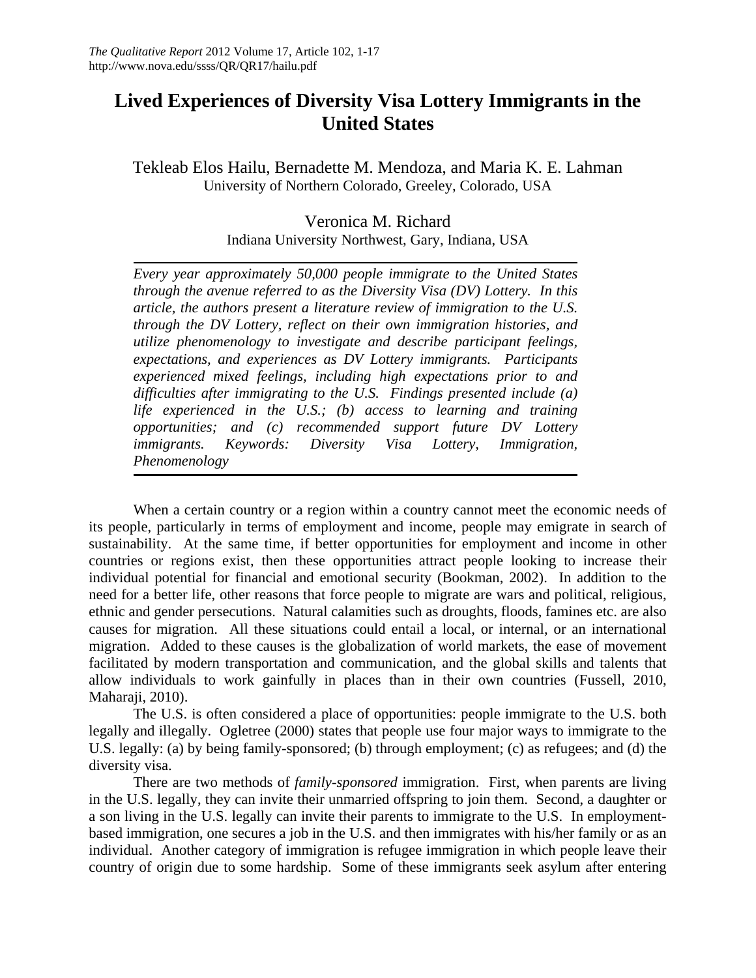# **Lived Experiences of Diversity Visa Lottery Immigrants in the United States**

Tekleab Elos Hailu, Bernadette M. Mendoza, and Maria K. E. Lahman University of Northern Colorado, Greeley, Colorado, USA

> Veronica M. Richard Indiana University Northwest, Gary, Indiana, USA

*Every year approximately 50,000 people immigrate to the United States through the avenue referred to as the Diversity Visa (DV) Lottery. In this article, the authors present a literature review of immigration to the U.S. through the DV Lottery, reflect on their own immigration histories, and utilize phenomenology to investigate and describe participant feelings, expectations, and experiences as DV Lottery immigrants. Participants experienced mixed feelings, including high expectations prior to and difficulties after immigrating to the U.S. Findings presented include (a) life experienced in the U.S.; (b) access to learning and training opportunities; and (c) recommended support future DV Lottery immigrants. Keywords: Diversity Visa Lottery, Immigration, Phenomenology*

When a certain country or a region within a country cannot meet the economic needs of its people, particularly in terms of employment and income, people may emigrate in search of sustainability. At the same time, if better opportunities for employment and income in other countries or regions exist, then these opportunities attract people looking to increase their individual potential for financial and emotional security (Bookman, 2002). In addition to the need for a better life, other reasons that force people to migrate are wars and political, religious, ethnic and gender persecutions. Natural calamities such as droughts, floods, famines etc. are also causes for migration. All these situations could entail a local, or internal, or an international migration. Added to these causes is the globalization of world markets, the ease of movement facilitated by modern transportation and communication, and the global skills and talents that allow individuals to work gainfully in places than in their own countries (Fussell, 2010, Maharaji, 2010).

The U.S. is often considered a place of opportunities: people immigrate to the U.S. both legally and illegally. Ogletree (2000) states that people use four major ways to immigrate to the U.S. legally: (a) by being family-sponsored; (b) through employment; (c) as refugees; and (d) the diversity visa.

There are two methods of *family-sponsored* immigration. First, when parents are living in the U.S. legally, they can invite their unmarried offspring to join them. Second, a daughter or a son living in the U.S. legally can invite their parents to immigrate to the U.S. In employmentbased immigration, one secures a job in the U.S. and then immigrates with his/her family or as an individual. Another category of immigration is refugee immigration in which people leave their country of origin due to some hardship. Some of these immigrants seek asylum after entering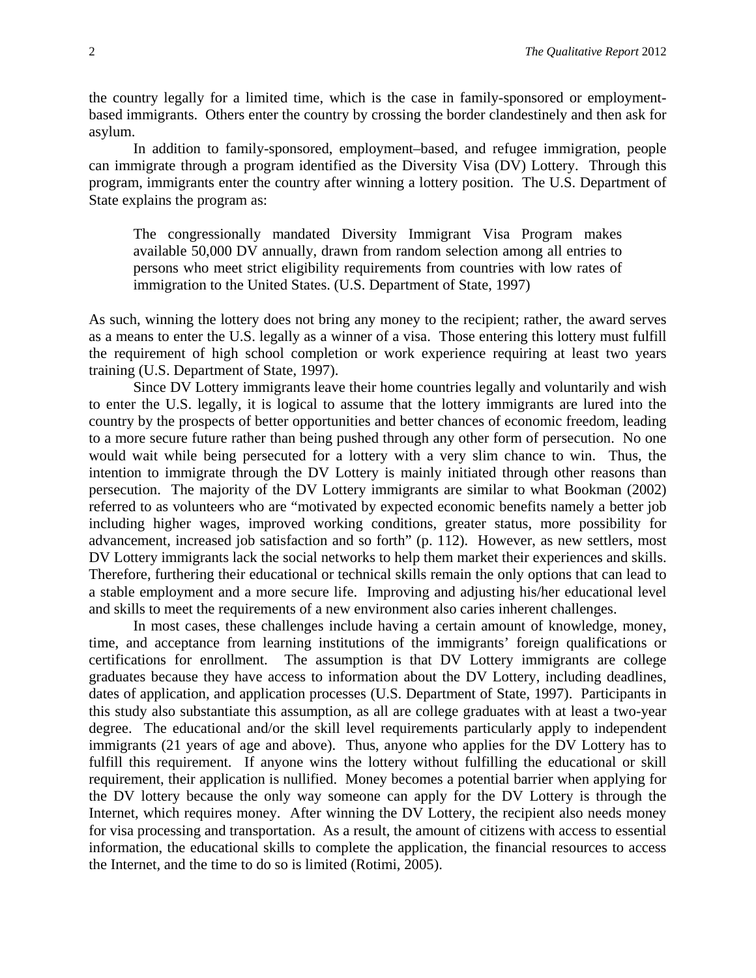the country legally for a limited time, which is the case in family-sponsored or employmentbased immigrants. Others enter the country by crossing the border clandestinely and then ask for asylum.

In addition to family-sponsored, employment–based, and refugee immigration, people can immigrate through a program identified as the Diversity Visa (DV) Lottery. Through this program, immigrants enter the country after winning a lottery position. The U.S. Department of State explains the program as:

The congressionally mandated Diversity Immigrant Visa Program makes available 50,000 DV annually, drawn from random selection among all entries to persons who meet strict eligibility requirements from countries with low rates of immigration to the United States. (U.S. Department of State, 1997)

As such, winning the lottery does not bring any money to the recipient; rather, the award serves as a means to enter the U.S. legally as a winner of a visa. Those entering this lottery must fulfill the requirement of high school completion or work experience requiring at least two years training (U.S. Department of State, 1997).

Since DV Lottery immigrants leave their home countries legally and voluntarily and wish to enter the U.S. legally, it is logical to assume that the lottery immigrants are lured into the country by the prospects of better opportunities and better chances of economic freedom, leading to a more secure future rather than being pushed through any other form of persecution. No one would wait while being persecuted for a lottery with a very slim chance to win. Thus, the intention to immigrate through the DV Lottery is mainly initiated through other reasons than persecution. The majority of the DV Lottery immigrants are similar to what Bookman (2002) referred to as volunteers who are "motivated by expected economic benefits namely a better job including higher wages, improved working conditions, greater status, more possibility for advancement, increased job satisfaction and so forth" (p. 112). However, as new settlers, most DV Lottery immigrants lack the social networks to help them market their experiences and skills. Therefore, furthering their educational or technical skills remain the only options that can lead to a stable employment and a more secure life. Improving and adjusting his/her educational level and skills to meet the requirements of a new environment also caries inherent challenges.

In most cases, these challenges include having a certain amount of knowledge, money, time, and acceptance from learning institutions of the immigrants' foreign qualifications or certifications for enrollment. The assumption is that DV Lottery immigrants are college graduates because they have access to information about the DV Lottery, including deadlines, dates of application, and application processes (U.S. Department of State, 1997). Participants in this study also substantiate this assumption, as all are college graduates with at least a two-year degree. The educational and/or the skill level requirements particularly apply to independent immigrants (21 years of age and above). Thus, anyone who applies for the DV Lottery has to fulfill this requirement. If anyone wins the lottery without fulfilling the educational or skill requirement, their application is nullified. Money becomes a potential barrier when applying for the DV lottery because the only way someone can apply for the DV Lottery is through the Internet, which requires money. After winning the DV Lottery, the recipient also needs money for visa processing and transportation. As a result, the amount of citizens with access to essential information, the educational skills to complete the application, the financial resources to access the Internet, and the time to do so is limited (Rotimi, 2005).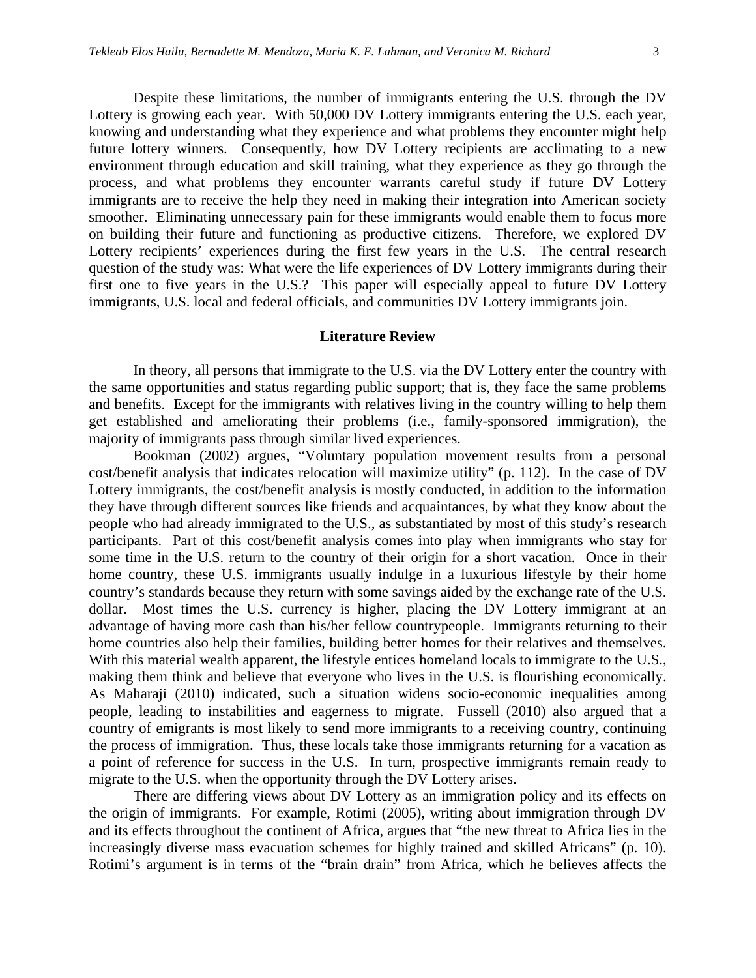Despite these limitations, the number of immigrants entering the U.S. through the DV Lottery is growing each year. With 50,000 DV Lottery immigrants entering the U.S. each year, knowing and understanding what they experience and what problems they encounter might help future lottery winners. Consequently, how DV Lottery recipients are acclimating to a new environment through education and skill training, what they experience as they go through the process, and what problems they encounter warrants careful study if future DV Lottery immigrants are to receive the help they need in making their integration into American society smoother. Eliminating unnecessary pain for these immigrants would enable them to focus more on building their future and functioning as productive citizens. Therefore, we explored DV Lottery recipients' experiences during the first few years in the U.S. The central research question of the study was: What were the life experiences of DV Lottery immigrants during their first one to five years in the U.S.? This paper will especially appeal to future DV Lottery immigrants, U.S. local and federal officials, and communities DV Lottery immigrants join.

#### **Literature Review**

In theory, all persons that immigrate to the U.S. via the DV Lottery enter the country with the same opportunities and status regarding public support; that is, they face the same problems and benefits. Except for the immigrants with relatives living in the country willing to help them get established and ameliorating their problems (i.e., family-sponsored immigration), the majority of immigrants pass through similar lived experiences.

Bookman (2002) argues, "Voluntary population movement results from a personal cost/benefit analysis that indicates relocation will maximize utility" (p. 112). In the case of DV Lottery immigrants, the cost/benefit analysis is mostly conducted, in addition to the information they have through different sources like friends and acquaintances, by what they know about the people who had already immigrated to the U.S., as substantiated by most of this study's research participants. Part of this cost/benefit analysis comes into play when immigrants who stay for some time in the U.S. return to the country of their origin for a short vacation. Once in their home country, these U.S. immigrants usually indulge in a luxurious lifestyle by their home country's standards because they return with some savings aided by the exchange rate of the U.S. dollar. Most times the U.S. currency is higher, placing the DV Lottery immigrant at an advantage of having more cash than his/her fellow countrypeople. Immigrants returning to their home countries also help their families, building better homes for their relatives and themselves. With this material wealth apparent, the lifestyle entices homeland locals to immigrate to the U.S., making them think and believe that everyone who lives in the U.S. is flourishing economically. As Maharaji (2010) indicated, such a situation widens socio-economic inequalities among people, leading to instabilities and eagerness to migrate. Fussell (2010) also argued that a country of emigrants is most likely to send more immigrants to a receiving country, continuing the process of immigration. Thus, these locals take those immigrants returning for a vacation as a point of reference for success in the U.S. In turn, prospective immigrants remain ready to migrate to the U.S. when the opportunity through the DV Lottery arises.

There are differing views about DV Lottery as an immigration policy and its effects on the origin of immigrants. For example, Rotimi (2005), writing about immigration through DV and its effects throughout the continent of Africa, argues that "the new threat to Africa lies in the increasingly diverse mass evacuation schemes for highly trained and skilled Africans" (p. 10). Rotimi's argument is in terms of the "brain drain" from Africa, which he believes affects the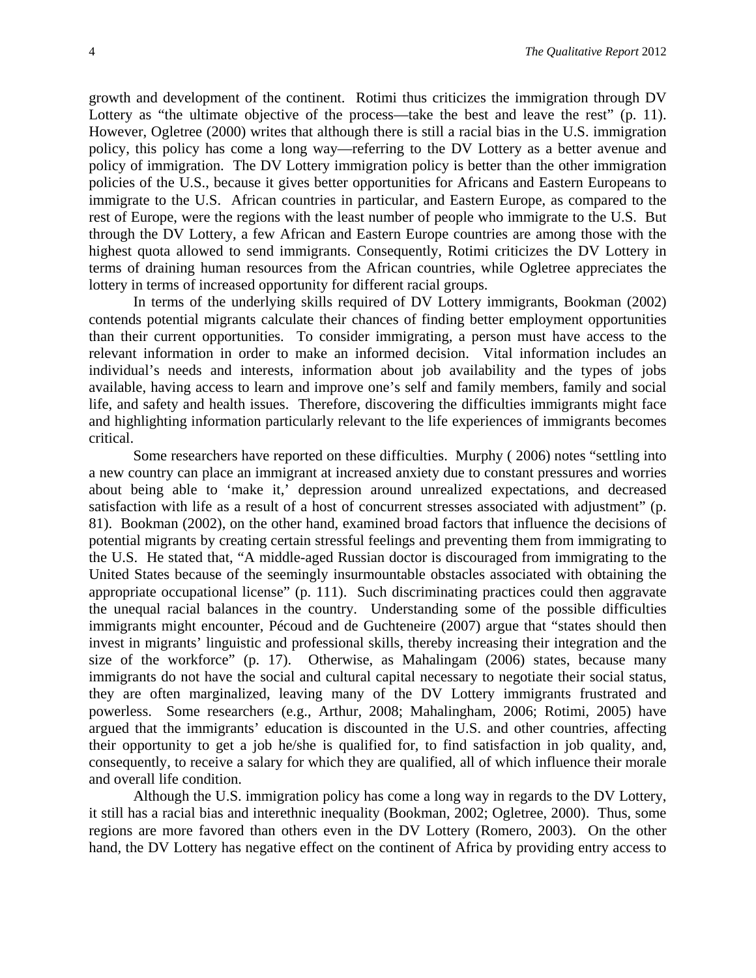growth and development of the continent. Rotimi thus criticizes the immigration through DV Lottery as "the ultimate objective of the process—take the best and leave the rest" (p. 11). However, Ogletree (2000) writes that although there is still a racial bias in the U.S. immigration policy, this policy has come a long way—referring to the DV Lottery as a better avenue and policy of immigration. The DV Lottery immigration policy is better than the other immigration policies of the U.S., because it gives better opportunities for Africans and Eastern Europeans to immigrate to the U.S. African countries in particular, and Eastern Europe, as compared to the rest of Europe, were the regions with the least number of people who immigrate to the U.S. But through the DV Lottery, a few African and Eastern Europe countries are among those with the highest quota allowed to send immigrants. Consequently, Rotimi criticizes the DV Lottery in terms of draining human resources from the African countries, while Ogletree appreciates the lottery in terms of increased opportunity for different racial groups.

In terms of the underlying skills required of DV Lottery immigrants, Bookman (2002) contends potential migrants calculate their chances of finding better employment opportunities than their current opportunities. To consider immigrating, a person must have access to the relevant information in order to make an informed decision. Vital information includes an individual's needs and interests, information about job availability and the types of jobs available, having access to learn and improve one's self and family members, family and social life, and safety and health issues. Therefore, discovering the difficulties immigrants might face and highlighting information particularly relevant to the life experiences of immigrants becomes critical.

Some researchers have reported on these difficulties. Murphy ( 2006) notes "settling into a new country can place an immigrant at increased anxiety due to constant pressures and worries about being able to 'make it,' depression around unrealized expectations, and decreased satisfaction with life as a result of a host of concurrent stresses associated with adjustment" (p. 81). Bookman (2002), on the other hand, examined broad factors that influence the decisions of potential migrants by creating certain stressful feelings and preventing them from immigrating to the U.S. He stated that, "A middle-aged Russian doctor is discouraged from immigrating to the United States because of the seemingly insurmountable obstacles associated with obtaining the appropriate occupational license" (p. 111). Such discriminating practices could then aggravate the unequal racial balances in the country. Understanding some of the possible difficulties immigrants might encounter, Pécoud and de Guchteneire (2007) argue that "states should then invest in migrants' linguistic and professional skills, thereby increasing their integration and the size of the workforce" (p. 17). Otherwise, as Mahalingam (2006) states, because many immigrants do not have the social and cultural capital necessary to negotiate their social status, they are often marginalized, leaving many of the DV Lottery immigrants frustrated and powerless. Some researchers (e.g., Arthur, 2008; Mahalingham, 2006; Rotimi, 2005) have argued that the immigrants' education is discounted in the U.S. and other countries, affecting their opportunity to get a job he/she is qualified for, to find satisfaction in job quality, and, consequently, to receive a salary for which they are qualified, all of which influence their morale and overall life condition.

Although the U.S. immigration policy has come a long way in regards to the DV Lottery, it still has a racial bias and interethnic inequality (Bookman, 2002; Ogletree, 2000). Thus, some regions are more favored than others even in the DV Lottery (Romero, 2003). On the other hand, the DV Lottery has negative effect on the continent of Africa by providing entry access to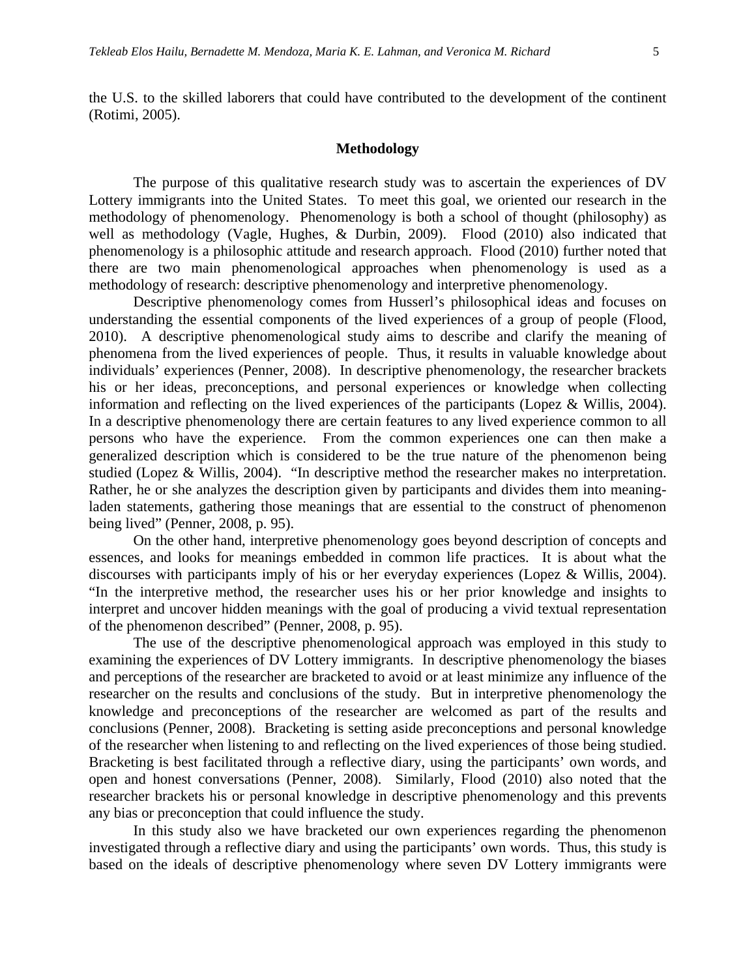the U.S. to the skilled laborers that could have contributed to the development of the continent (Rotimi, 2005).

#### **Methodology**

The purpose of this qualitative research study was to ascertain the experiences of DV Lottery immigrants into the United States. To meet this goal, we oriented our research in the methodology of phenomenology. Phenomenology is both a school of thought (philosophy) as well as methodology (Vagle, Hughes, & Durbin, 2009). Flood (2010) also indicated that phenomenology is a philosophic attitude and research approach. Flood (2010) further noted that there are two main phenomenological approaches when phenomenology is used as a methodology of research: descriptive phenomenology and interpretive phenomenology.

Descriptive phenomenology comes from Husserl's philosophical ideas and focuses on understanding the essential components of the lived experiences of a group of people (Flood, 2010). A descriptive phenomenological study aims to describe and clarify the meaning of phenomena from the lived experiences of people. Thus, it results in valuable knowledge about individuals' experiences (Penner, 2008). In descriptive phenomenology, the researcher brackets his or her ideas, preconceptions, and personal experiences or knowledge when collecting information and reflecting on the lived experiences of the participants (Lopez & Willis, 2004). In a descriptive phenomenology there are certain features to any lived experience common to all persons who have the experience. From the common experiences one can then make a generalized description which is considered to be the true nature of the phenomenon being studied (Lopez & Willis, 2004). "In descriptive method the researcher makes no interpretation. Rather, he or she analyzes the description given by participants and divides them into meaningladen statements, gathering those meanings that are essential to the construct of phenomenon being lived" (Penner, 2008, p. 95).

On the other hand, interpretive phenomenology goes beyond description of concepts and essences, and looks for meanings embedded in common life practices. It is about what the discourses with participants imply of his or her everyday experiences (Lopez & Willis, 2004). "In the interpretive method, the researcher uses his or her prior knowledge and insights to interpret and uncover hidden meanings with the goal of producing a vivid textual representation of the phenomenon described" (Penner, 2008, p. 95).

The use of the descriptive phenomenological approach was employed in this study to examining the experiences of DV Lottery immigrants. In descriptive phenomenology the biases and perceptions of the researcher are bracketed to avoid or at least minimize any influence of the researcher on the results and conclusions of the study. But in interpretive phenomenology the knowledge and preconceptions of the researcher are welcomed as part of the results and conclusions (Penner, 2008). Bracketing is setting aside preconceptions and personal knowledge of the researcher when listening to and reflecting on the lived experiences of those being studied. Bracketing is best facilitated through a reflective diary, using the participants' own words, and open and honest conversations (Penner, 2008). Similarly, Flood (2010) also noted that the researcher brackets his or personal knowledge in descriptive phenomenology and this prevents any bias or preconception that could influence the study.

In this study also we have bracketed our own experiences regarding the phenomenon investigated through a reflective diary and using the participants' own words. Thus, this study is based on the ideals of descriptive phenomenology where seven DV Lottery immigrants were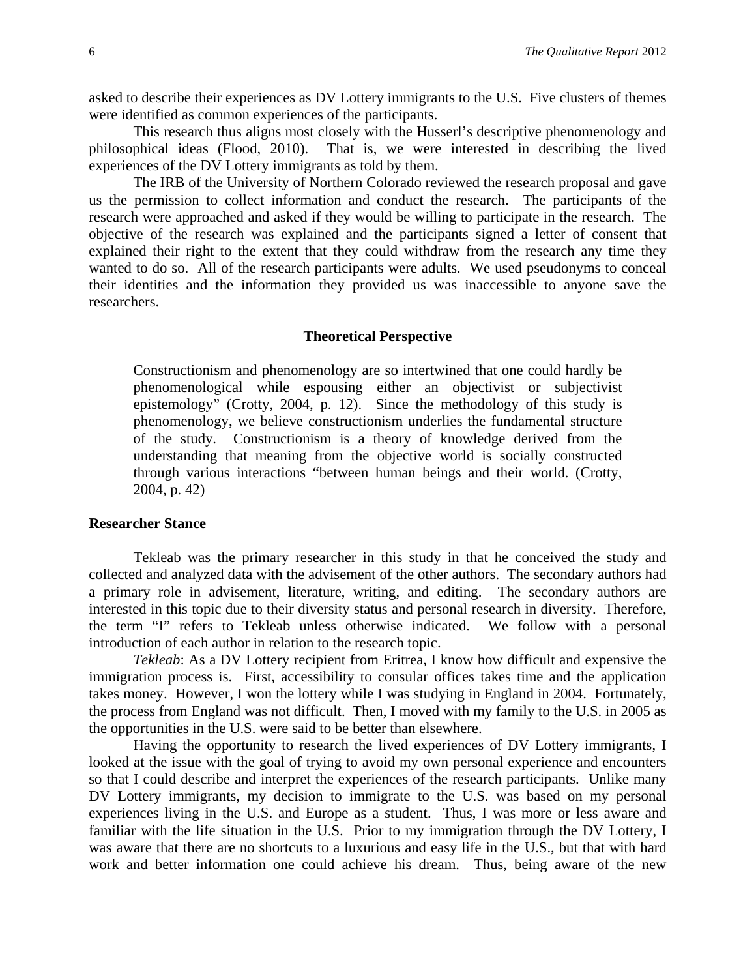asked to describe their experiences as DV Lottery immigrants to the U.S. Five clusters of themes were identified as common experiences of the participants.

This research thus aligns most closely with the Husserl's descriptive phenomenology and philosophical ideas (Flood, 2010). That is, we were interested in describing the lived experiences of the DV Lottery immigrants as told by them.

The IRB of the University of Northern Colorado reviewed the research proposal and gave us the permission to collect information and conduct the research. The participants of the research were approached and asked if they would be willing to participate in the research. The objective of the research was explained and the participants signed a letter of consent that explained their right to the extent that they could withdraw from the research any time they wanted to do so. All of the research participants were adults. We used pseudonyms to conceal their identities and the information they provided us was inaccessible to anyone save the researchers.

#### **Theoretical Perspective**

Constructionism and phenomenology are so intertwined that one could hardly be phenomenological while espousing either an objectivist or subjectivist epistemology" (Crotty, 2004, p. 12). Since the methodology of this study is phenomenology, we believe constructionism underlies the fundamental structure of the study. Constructionism is a theory of knowledge derived from the understanding that meaning from the objective world is socially constructed through various interactions "between human beings and their world. (Crotty, 2004, p. 42)

#### **Researcher Stance**

Tekleab was the primary researcher in this study in that he conceived the study and collected and analyzed data with the advisement of the other authors. The secondary authors had a primary role in advisement, literature, writing, and editing. The secondary authors are interested in this topic due to their diversity status and personal research in diversity. Therefore, the term "I" refers to Tekleab unless otherwise indicated. We follow with a personal introduction of each author in relation to the research topic.

*Tekleab*: As a DV Lottery recipient from Eritrea, I know how difficult and expensive the immigration process is. First, accessibility to consular offices takes time and the application takes money. However, I won the lottery while I was studying in England in 2004. Fortunately, the process from England was not difficult. Then, I moved with my family to the U.S. in 2005 as the opportunities in the U.S. were said to be better than elsewhere.

Having the opportunity to research the lived experiences of DV Lottery immigrants, I looked at the issue with the goal of trying to avoid my own personal experience and encounters so that I could describe and interpret the experiences of the research participants. Unlike many DV Lottery immigrants, my decision to immigrate to the U.S. was based on my personal experiences living in the U.S. and Europe as a student. Thus, I was more or less aware and familiar with the life situation in the U.S. Prior to my immigration through the DV Lottery, I was aware that there are no shortcuts to a luxurious and easy life in the U.S., but that with hard work and better information one could achieve his dream. Thus, being aware of the new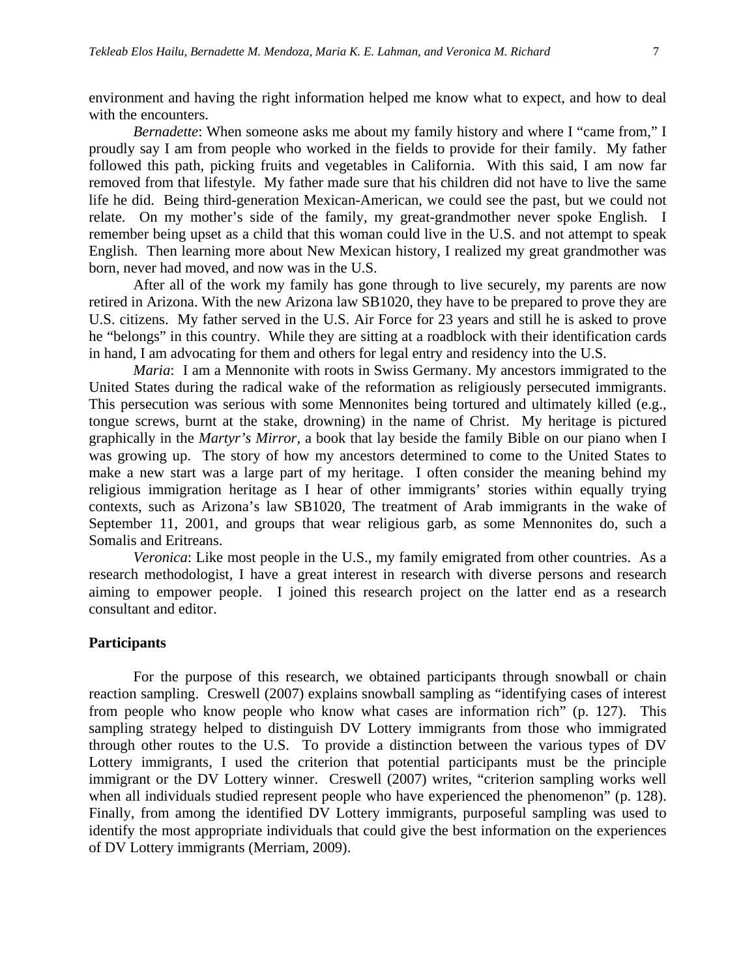environment and having the right information helped me know what to expect, and how to deal with the encounters.

*Bernadette*: When someone asks me about my family history and where I "came from," I proudly say I am from people who worked in the fields to provide for their family. My father followed this path, picking fruits and vegetables in California. With this said, I am now far removed from that lifestyle. My father made sure that his children did not have to live the same life he did. Being third-generation Mexican-American, we could see the past, but we could not relate. On my mother's side of the family, my great-grandmother never spoke English. I remember being upset as a child that this woman could live in the U.S. and not attempt to speak English. Then learning more about New Mexican history, I realized my great grandmother was born, never had moved, and now was in the U.S.

After all of the work my family has gone through to live securely, my parents are now retired in Arizona. With the new Arizona law SB1020, they have to be prepared to prove they are U.S. citizens. My father served in the U.S. Air Force for 23 years and still he is asked to prove he "belongs" in this country. While they are sitting at a roadblock with their identification cards in hand, I am advocating for them and others for legal entry and residency into the U.S.

*Maria*: I am a Mennonite with roots in Swiss Germany. My ancestors immigrated to the United States during the radical wake of the reformation as religiously persecuted immigrants. This persecution was serious with some Mennonites being tortured and ultimately killed (e.g., tongue screws, burnt at the stake, drowning) in the name of Christ. My heritage is pictured graphically in the *Martyr's Mirror*, a book that lay beside the family Bible on our piano when I was growing up. The story of how my ancestors determined to come to the United States to make a new start was a large part of my heritage. I often consider the meaning behind my religious immigration heritage as I hear of other immigrants' stories within equally trying contexts, such as Arizona's law SB1020, The treatment of Arab immigrants in the wake of September 11, 2001, and groups that wear religious garb, as some Mennonites do, such a Somalis and Eritreans.

*Veronica*: Like most people in the U.S., my family emigrated from other countries. As a research methodologist, I have a great interest in research with diverse persons and research aiming to empower people. I joined this research project on the latter end as a research consultant and editor.

#### **Participants**

For the purpose of this research, we obtained participants through snowball or chain reaction sampling. Creswell (2007) explains snowball sampling as "identifying cases of interest from people who know people who know what cases are information rich" (p. 127). This sampling strategy helped to distinguish DV Lottery immigrants from those who immigrated through other routes to the U.S. To provide a distinction between the various types of DV Lottery immigrants, I used the criterion that potential participants must be the principle immigrant or the DV Lottery winner. Creswell (2007) writes, "criterion sampling works well when all individuals studied represent people who have experienced the phenomenon" (p. 128). Finally, from among the identified DV Lottery immigrants, purposeful sampling was used to identify the most appropriate individuals that could give the best information on the experiences of DV Lottery immigrants (Merriam, 2009).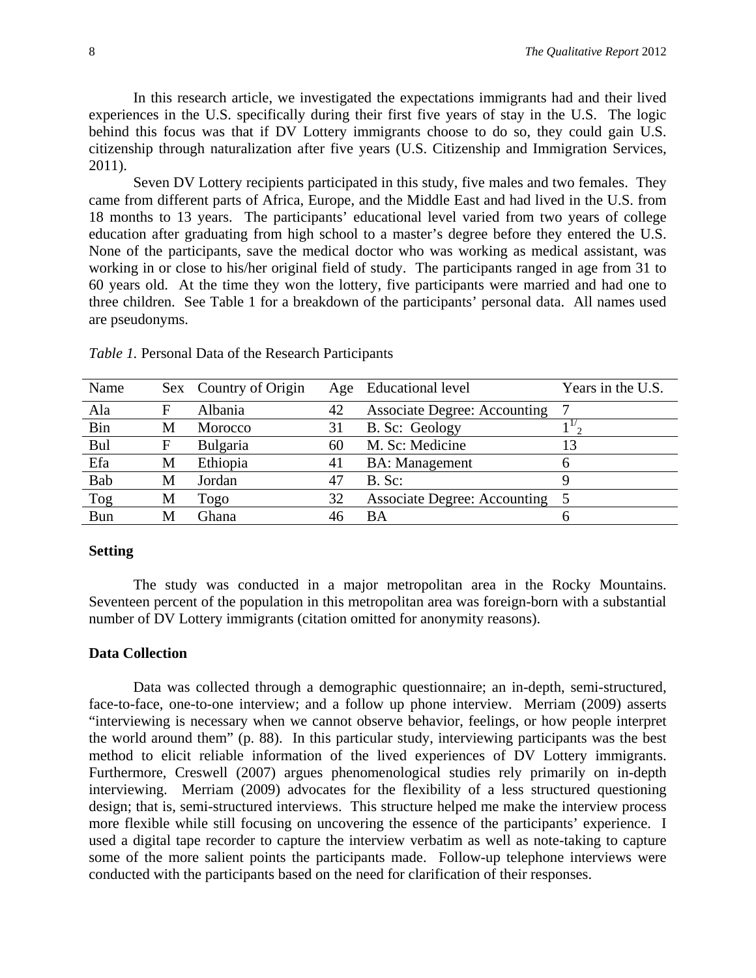In this research article, we investigated the expectations immigrants had and their lived experiences in the U.S. specifically during their first five years of stay in the U.S. The logic behind this focus was that if DV Lottery immigrants choose to do so, they could gain U.S. citizenship through naturalization after five years (U.S. Citizenship and Immigration Services, 2011).

Seven DV Lottery recipients participated in this study, five males and two females. They came from different parts of Africa, Europe, and the Middle East and had lived in the U.S. from 18 months to 13 years. The participants' educational level varied from two years of college education after graduating from high school to a master's degree before they entered the U.S. None of the participants, save the medical doctor who was working as medical assistant, was working in or close to his/her original field of study. The participants ranged in age from 31 to 60 years old. At the time they won the lottery, five participants were married and had one to three children. See Table 1 for a breakdown of the participants' personal data. All names used are pseudonyms.

| Name       |   | Sex Country of Origin |    | Age Educational level               | Years in the U.S. |
|------------|---|-----------------------|----|-------------------------------------|-------------------|
| Ala        | F | Albania               | 42 | <b>Associate Degree: Accounting</b> |                   |
| Bin        | M | Morocco               | 31 | B. Sc: Geology                      |                   |
| Bul        | F | Bulgaria              | 60 | M. Sc: Medicine                     |                   |
| Efa        | М | Ethiopia              | 41 | <b>BA: Management</b>               | h                 |
| Bab        | M | Jordan                | 47 | $B.$ Sc:                            |                   |
| Tog        | М | Togo                  | 32 | Associate Degree: Accounting 5      |                   |
| <b>Bun</b> | M | Ghana                 | 46 | BA                                  |                   |

*Table 1.* Personal Data of the Research Participants

#### **Setting**

The study was conducted in a major metropolitan area in the Rocky Mountains. Seventeen percent of the population in this metropolitan area was foreign-born with a substantial number of DV Lottery immigrants (citation omitted for anonymity reasons).

#### **Data Collection**

Data was collected through a demographic questionnaire; an in-depth, semi-structured, face-to-face, one-to-one interview; and a follow up phone interview. Merriam (2009) asserts "interviewing is necessary when we cannot observe behavior, feelings, or how people interpret the world around them" (p. 88). In this particular study, interviewing participants was the best method to elicit reliable information of the lived experiences of DV Lottery immigrants. Furthermore, Creswell (2007) argues phenomenological studies rely primarily on in-depth interviewing. Merriam (2009) advocates for the flexibility of a less structured questioning design; that is, semi-structured interviews. This structure helped me make the interview process more flexible while still focusing on uncovering the essence of the participants' experience. I used a digital tape recorder to capture the interview verbatim as well as note-taking to capture some of the more salient points the participants made. Follow-up telephone interviews were conducted with the participants based on the need for clarification of their responses.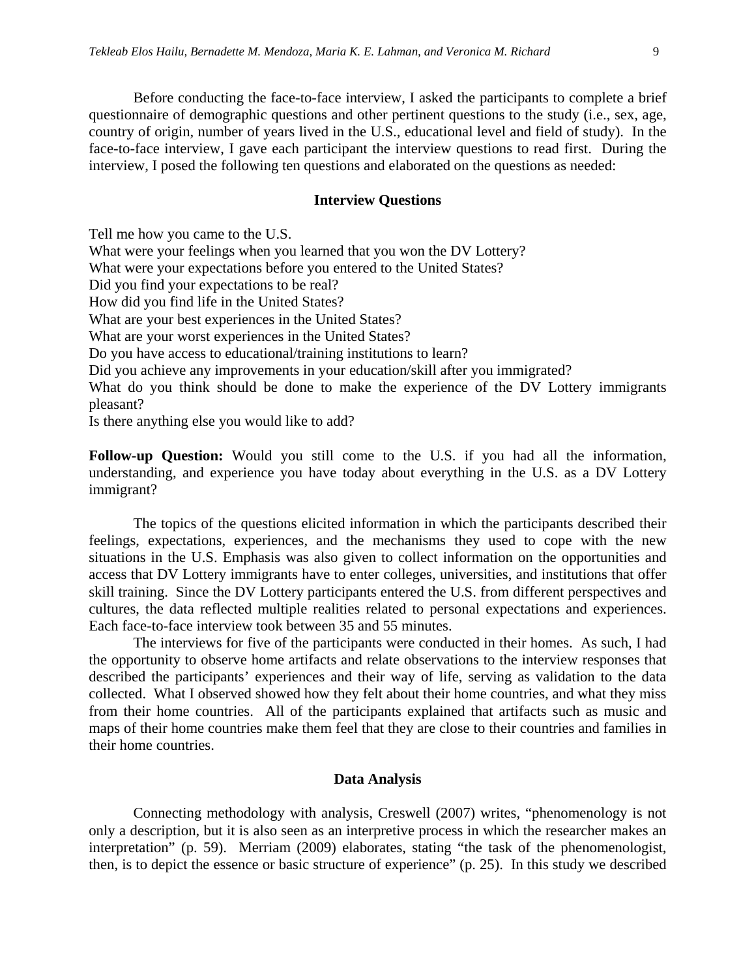Before conducting the face-to-face interview, I asked the participants to complete a brief questionnaire of demographic questions and other pertinent questions to the study (i.e., sex, age, country of origin, number of years lived in the U.S., educational level and field of study). In the face-to-face interview, I gave each participant the interview questions to read first. During the interview, I posed the following ten questions and elaborated on the questions as needed:

#### **Interview Questions**

Tell me how you came to the U.S. What were your feelings when you learned that you won the DV Lottery? What were your expectations before you entered to the United States? Did you find your expectations to be real? How did you find life in the United States? What are your best experiences in the United States? What are your worst experiences in the United States? Do you have access to educational/training institutions to learn? Did you achieve any improvements in your education/skill after you immigrated? What do you think should be done to make the experience of the DV Lottery immigrants pleasant?

Is there anything else you would like to add?

**Follow-up Question:** Would you still come to the U.S. if you had all the information, understanding, and experience you have today about everything in the U.S. as a DV Lottery immigrant?

The topics of the questions elicited information in which the participants described their feelings, expectations, experiences, and the mechanisms they used to cope with the new situations in the U.S. Emphasis was also given to collect information on the opportunities and access that DV Lottery immigrants have to enter colleges, universities, and institutions that offer skill training. Since the DV Lottery participants entered the U.S. from different perspectives and cultures, the data reflected multiple realities related to personal expectations and experiences. Each face-to-face interview took between 35 and 55 minutes.

The interviews for five of the participants were conducted in their homes. As such, I had the opportunity to observe home artifacts and relate observations to the interview responses that described the participants' experiences and their way of life, serving as validation to the data collected. What I observed showed how they felt about their home countries, and what they miss from their home countries. All of the participants explained that artifacts such as music and maps of their home countries make them feel that they are close to their countries and families in their home countries.

#### **Data Analysis**

Connecting methodology with analysis, Creswell (2007) writes, "phenomenology is not only a description, but it is also seen as an interpretive process in which the researcher makes an interpretation" (p. 59). Merriam (2009) elaborates, stating "the task of the phenomenologist, then, is to depict the essence or basic structure of experience" (p. 25). In this study we described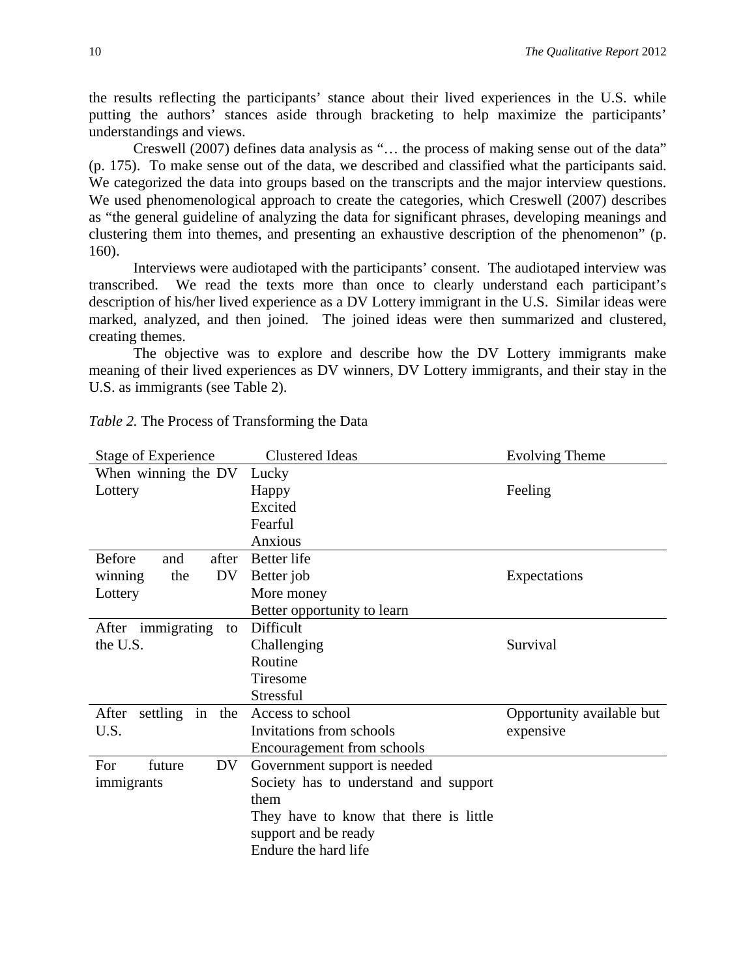the results reflecting the participants' stance about their lived experiences in the U.S. while putting the authors' stances aside through bracketing to help maximize the participants' understandings and views.

Creswell (2007) defines data analysis as "… the process of making sense out of the data" (p. 175). To make sense out of the data, we described and classified what the participants said. We categorized the data into groups based on the transcripts and the major interview questions. We used phenomenological approach to create the categories, which Creswell (2007) describes as "the general guideline of analyzing the data for significant phrases, developing meanings and clustering them into themes, and presenting an exhaustive description of the phenomenon" (p. 160).

Interviews were audiotaped with the participants' consent. The audiotaped interview was transcribed. We read the texts more than once to clearly understand each participant's description of his/her lived experience as a DV Lottery immigrant in the U.S. Similar ideas were marked, analyzed, and then joined. The joined ideas were then summarized and clustered, creating themes.

The objective was to explore and describe how the DV Lottery immigrants make meaning of their lived experiences as DV winners, DV Lottery immigrants, and their stay in the U.S. as immigrants (see Table 2).

| Stage of Experience           | <b>Clustered Ideas</b>                 | <b>Evolving Theme</b>     |
|-------------------------------|----------------------------------------|---------------------------|
| When winning the DV           | Lucky                                  |                           |
| Lottery                       | Happy                                  | Feeling                   |
|                               | Excited                                |                           |
|                               | Fearful                                |                           |
|                               | Anxious                                |                           |
| <b>Before</b><br>and<br>after | <b>Better</b> life                     |                           |
| DV<br>the<br>winning          | Better job                             | Expectations              |
| Lottery                       | More money                             |                           |
|                               | Better opportunity to learn            |                           |
| After immigrating<br>to       | Difficult                              |                           |
| the U.S.                      | Challenging                            | Survival                  |
|                               | Routine                                |                           |
|                               | Tiresome                               |                           |
|                               | <b>Stressful</b>                       |                           |
| settling in<br>the<br>After   | Access to school                       | Opportunity available but |
| U.S.                          | Invitations from schools               | expensive                 |
|                               | Encouragement from schools             |                           |
| For<br>future<br>DV.          | Government support is needed           |                           |
| immigrants                    | Society has to understand and support  |                           |
|                               | them                                   |                           |
|                               | They have to know that there is little |                           |
|                               | support and be ready                   |                           |
|                               | Endure the hard life                   |                           |

*Table 2.* The Process of Transforming the Data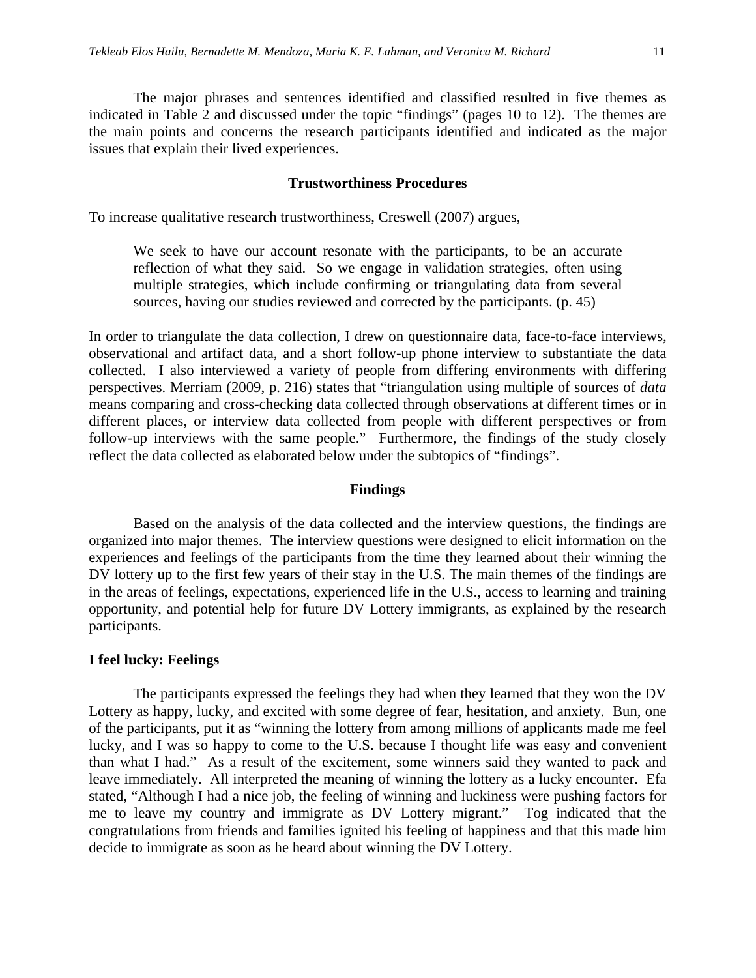The major phrases and sentences identified and classified resulted in five themes as indicated in Table 2 and discussed under the topic "findings" (pages 10 to 12). The themes are the main points and concerns the research participants identified and indicated as the major issues that explain their lived experiences.

#### **Trustworthiness Procedures**

To increase qualitative research trustworthiness, Creswell (2007) argues,

We seek to have our account resonate with the participants, to be an accurate reflection of what they said. So we engage in validation strategies, often using multiple strategies, which include confirming or triangulating data from several sources, having our studies reviewed and corrected by the participants. (p. 45)

In order to triangulate the data collection, I drew on questionnaire data, face-to-face interviews, observational and artifact data, and a short follow-up phone interview to substantiate the data collected. I also interviewed a variety of people from differing environments with differing perspectives. Merriam (2009, p. 216) states that "triangulation using multiple of sources of *data* means comparing and cross-checking data collected through observations at different times or in different places, or interview data collected from people with different perspectives or from follow-up interviews with the same people." Furthermore, the findings of the study closely reflect the data collected as elaborated below under the subtopics of "findings".

#### **Findings**

Based on the analysis of the data collected and the interview questions, the findings are organized into major themes. The interview questions were designed to elicit information on the experiences and feelings of the participants from the time they learned about their winning the DV lottery up to the first few years of their stay in the U.S. The main themes of the findings are in the areas of feelings, expectations, experienced life in the U.S., access to learning and training opportunity, and potential help for future DV Lottery immigrants, as explained by the research participants.

#### **I feel lucky: Feelings**

The participants expressed the feelings they had when they learned that they won the DV Lottery as happy, lucky, and excited with some degree of fear, hesitation, and anxiety. Bun, one of the participants, put it as "winning the lottery from among millions of applicants made me feel lucky, and I was so happy to come to the U.S. because I thought life was easy and convenient than what I had." As a result of the excitement, some winners said they wanted to pack and leave immediately. All interpreted the meaning of winning the lottery as a lucky encounter. Efa stated, "Although I had a nice job, the feeling of winning and luckiness were pushing factors for me to leave my country and immigrate as DV Lottery migrant." Tog indicated that the congratulations from friends and families ignited his feeling of happiness and that this made him decide to immigrate as soon as he heard about winning the DV Lottery.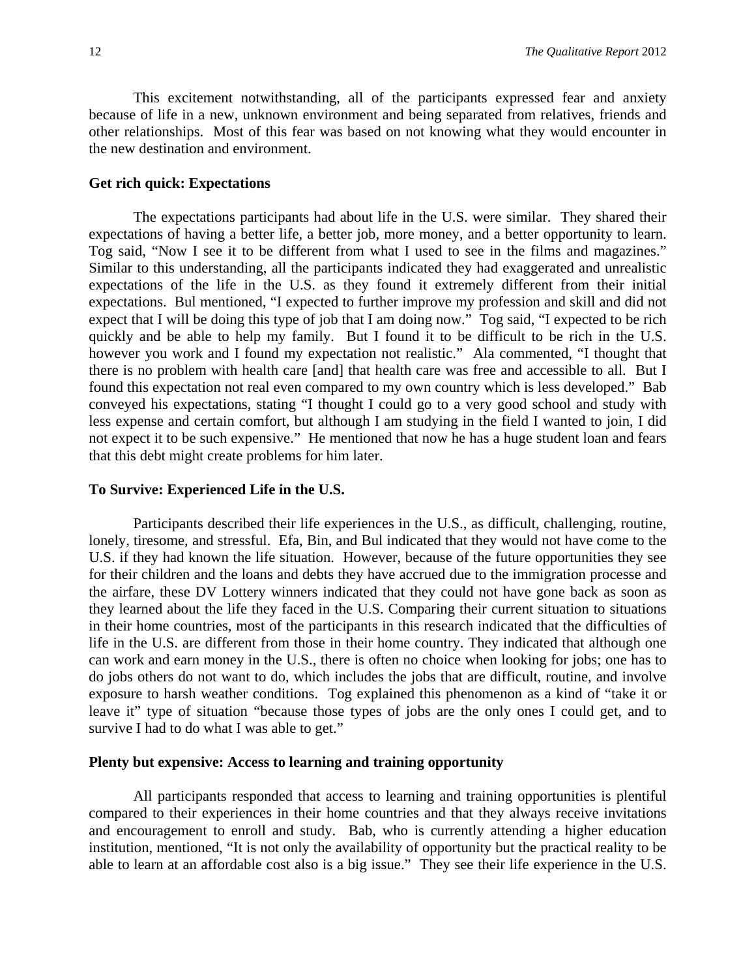This excitement notwithstanding, all of the participants expressed fear and anxiety because of life in a new, unknown environment and being separated from relatives, friends and other relationships. Most of this fear was based on not knowing what they would encounter in the new destination and environment.

#### **Get rich quick: Expectations**

The expectations participants had about life in the U.S. were similar. They shared their expectations of having a better life, a better job, more money, and a better opportunity to learn. Tog said, "Now I see it to be different from what I used to see in the films and magazines." Similar to this understanding, all the participants indicated they had exaggerated and unrealistic expectations of the life in the U.S. as they found it extremely different from their initial expectations. Bul mentioned, "I expected to further improve my profession and skill and did not expect that I will be doing this type of job that I am doing now." Tog said, "I expected to be rich quickly and be able to help my family. But I found it to be difficult to be rich in the U.S. however you work and I found my expectation not realistic." Ala commented, "I thought that there is no problem with health care [and] that health care was free and accessible to all. But I found this expectation not real even compared to my own country which is less developed." Bab conveyed his expectations, stating "I thought I could go to a very good school and study with less expense and certain comfort, but although I am studying in the field I wanted to join, I did not expect it to be such expensive." He mentioned that now he has a huge student loan and fears that this debt might create problems for him later.

#### **To Survive: Experienced Life in the U.S.**

Participants described their life experiences in the U.S., as difficult, challenging, routine, lonely, tiresome, and stressful. Efa, Bin, and Bul indicated that they would not have come to the U.S. if they had known the life situation. However, because of the future opportunities they see for their children and the loans and debts they have accrued due to the immigration processe and the airfare, these DV Lottery winners indicated that they could not have gone back as soon as they learned about the life they faced in the U.S. Comparing their current situation to situations in their home countries, most of the participants in this research indicated that the difficulties of life in the U.S. are different from those in their home country. They indicated that although one can work and earn money in the U.S., there is often no choice when looking for jobs; one has to do jobs others do not want to do, which includes the jobs that are difficult, routine, and involve exposure to harsh weather conditions. Tog explained this phenomenon as a kind of "take it or leave it" type of situation "because those types of jobs are the only ones I could get, and to survive I had to do what I was able to get."

#### **Plenty but expensive: Access to learning and training opportunity**

All participants responded that access to learning and training opportunities is plentiful compared to their experiences in their home countries and that they always receive invitations and encouragement to enroll and study. Bab, who is currently attending a higher education institution, mentioned, "It is not only the availability of opportunity but the practical reality to be able to learn at an affordable cost also is a big issue." They see their life experience in the U.S.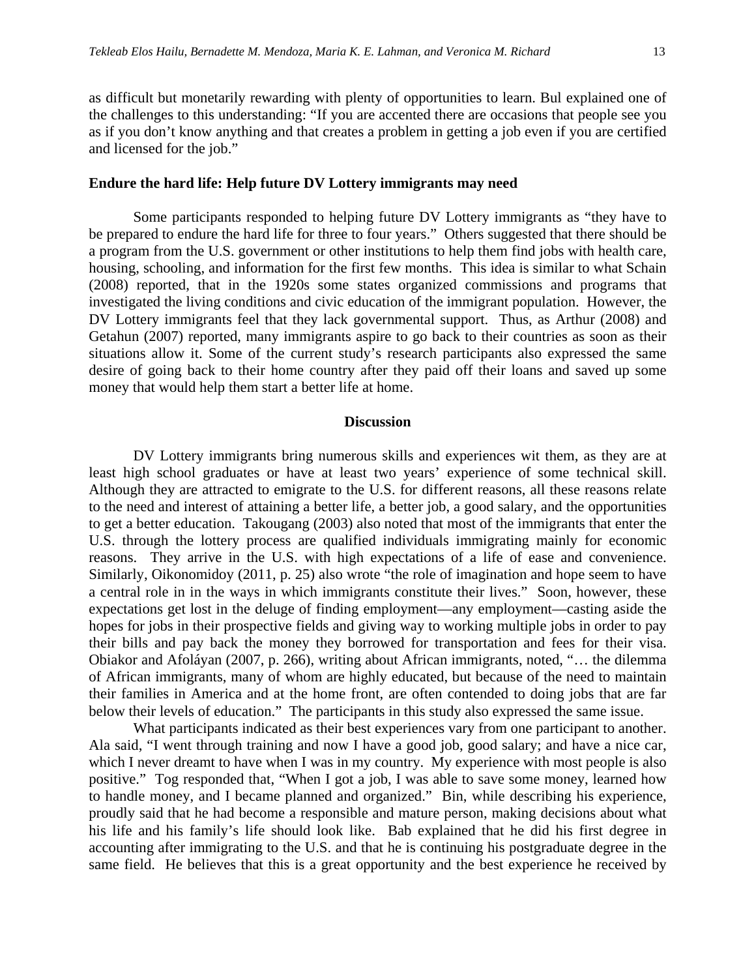as difficult but monetarily rewarding with plenty of opportunities to learn. Bul explained one of the challenges to this understanding: "If you are accented there are occasions that people see you as if you don't know anything and that creates a problem in getting a job even if you are certified and licensed for the job."

### **Endure the hard life: Help future DV Lottery immigrants may need**

Some participants responded to helping future DV Lottery immigrants as "they have to be prepared to endure the hard life for three to four years." Others suggested that there should be a program from the U.S. government or other institutions to help them find jobs with health care, housing, schooling, and information for the first few months. This idea is similar to what Schain (2008) reported, that in the 1920s some states organized commissions and programs that investigated the living conditions and civic education of the immigrant population. However, the DV Lottery immigrants feel that they lack governmental support. Thus, as Arthur (2008) and Getahun (2007) reported, many immigrants aspire to go back to their countries as soon as their situations allow it. Some of the current study's research participants also expressed the same desire of going back to their home country after they paid off their loans and saved up some money that would help them start a better life at home.

#### **Discussion**

DV Lottery immigrants bring numerous skills and experiences wit them, as they are at least high school graduates or have at least two years' experience of some technical skill. Although they are attracted to emigrate to the U.S. for different reasons, all these reasons relate to the need and interest of attaining a better life, a better job, a good salary, and the opportunities to get a better education. Takougang (2003) also noted that most of the immigrants that enter the U.S. through the lottery process are qualified individuals immigrating mainly for economic reasons. They arrive in the U.S. with high expectations of a life of ease and convenience. Similarly, Oikonomidoy (2011, p. 25) also wrote "the role of imagination and hope seem to have a central role in in the ways in which immigrants constitute their lives." Soon, however, these expectations get lost in the deluge of finding employment—any employment—casting aside the hopes for jobs in their prospective fields and giving way to working multiple jobs in order to pay their bills and pay back the money they borrowed for transportation and fees for their visa. Obiakor and Afoláyan (2007, p. 266), writing about African immigrants, noted, "… the dilemma of African immigrants, many of whom are highly educated, but because of the need to maintain their families in America and at the home front, are often contended to doing jobs that are far below their levels of education." The participants in this study also expressed the same issue.

What participants indicated as their best experiences vary from one participant to another. Ala said, "I went through training and now I have a good job, good salary; and have a nice car, which I never dreamt to have when I was in my country. My experience with most people is also positive." Tog responded that, "When I got a job, I was able to save some money, learned how to handle money, and I became planned and organized." Bin, while describing his experience, proudly said that he had become a responsible and mature person, making decisions about what his life and his family's life should look like. Bab explained that he did his first degree in accounting after immigrating to the U.S. and that he is continuing his postgraduate degree in the same field. He believes that this is a great opportunity and the best experience he received by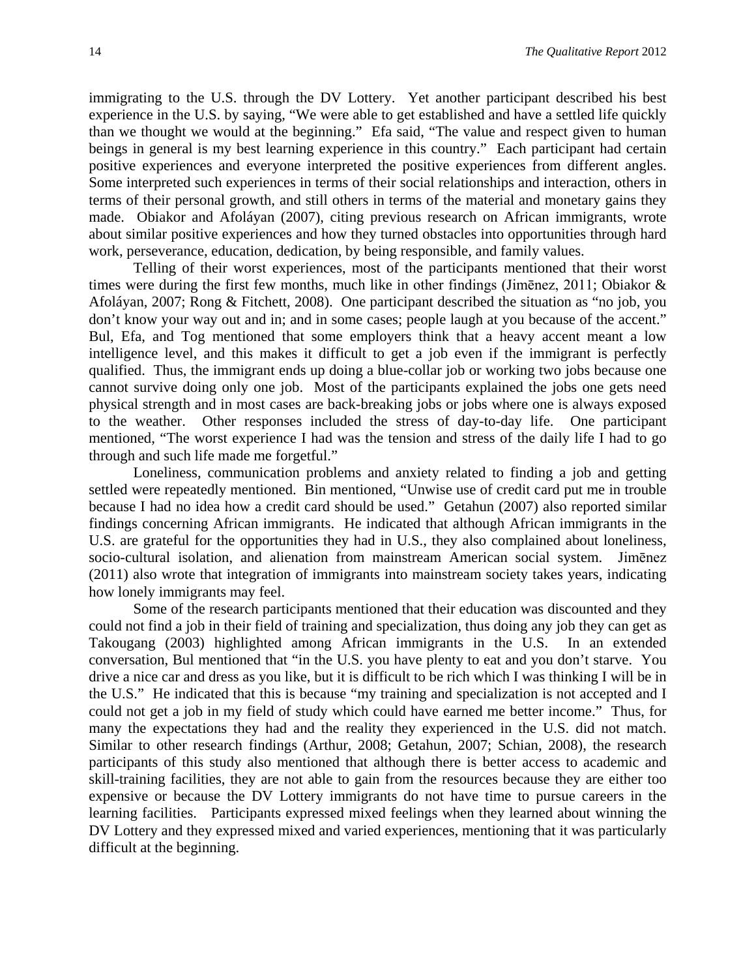immigrating to the U.S. through the DV Lottery. Yet another participant described his best experience in the U.S. by saying, "We were able to get established and have a settled life quickly than we thought we would at the beginning." Efa said, "The value and respect given to human beings in general is my best learning experience in this country." Each participant had certain positive experiences and everyone interpreted the positive experiences from different angles. Some interpreted such experiences in terms of their social relationships and interaction, others in terms of their personal growth, and still others in terms of the material and monetary gains they made. Obiakor and Afoláyan (2007), citing previous research on African immigrants, wrote about similar positive experiences and how they turned obstacles into opportunities through hard work, perseverance, education, dedication, by being responsible, and family values.

Telling of their worst experiences, most of the participants mentioned that their worst times were during the first few months, much like in other findings (Jimēnez, 2011; Obiakor & Afoláyan, 2007; Rong & Fitchett, 2008). One participant described the situation as "no job, you don't know your way out and in; and in some cases; people laugh at you because of the accent." Bul, Efa, and Tog mentioned that some employers think that a heavy accent meant a low intelligence level, and this makes it difficult to get a job even if the immigrant is perfectly qualified. Thus, the immigrant ends up doing a blue-collar job or working two jobs because one cannot survive doing only one job. Most of the participants explained the jobs one gets need physical strength and in most cases are back-breaking jobs or jobs where one is always exposed to the weather. Other responses included the stress of day-to-day life. One participant mentioned, "The worst experience I had was the tension and stress of the daily life I had to go through and such life made me forgetful."

Loneliness, communication problems and anxiety related to finding a job and getting settled were repeatedly mentioned. Bin mentioned, "Unwise use of credit card put me in trouble because I had no idea how a credit card should be used." Getahun (2007) also reported similar findings concerning African immigrants. He indicated that although African immigrants in the U.S. are grateful for the opportunities they had in U.S., they also complained about loneliness, socio-cultural isolation, and alienation from mainstream American social system. Jimēnez (2011) also wrote that integration of immigrants into mainstream society takes years, indicating how lonely immigrants may feel.

Some of the research participants mentioned that their education was discounted and they could not find a job in their field of training and specialization, thus doing any job they can get as Takougang (2003) highlighted among African immigrants in the U.S. In an extended conversation, Bul mentioned that "in the U.S. you have plenty to eat and you don't starve. You drive a nice car and dress as you like, but it is difficult to be rich which I was thinking I will be in the U.S." He indicated that this is because "my training and specialization is not accepted and I could not get a job in my field of study which could have earned me better income." Thus, for many the expectations they had and the reality they experienced in the U.S. did not match. Similar to other research findings (Arthur, 2008; Getahun, 2007; Schian, 2008), the research participants of this study also mentioned that although there is better access to academic and skill-training facilities, they are not able to gain from the resources because they are either too expensive or because the DV Lottery immigrants do not have time to pursue careers in the learning facilities. Participants expressed mixed feelings when they learned about winning the DV Lottery and they expressed mixed and varied experiences, mentioning that it was particularly difficult at the beginning.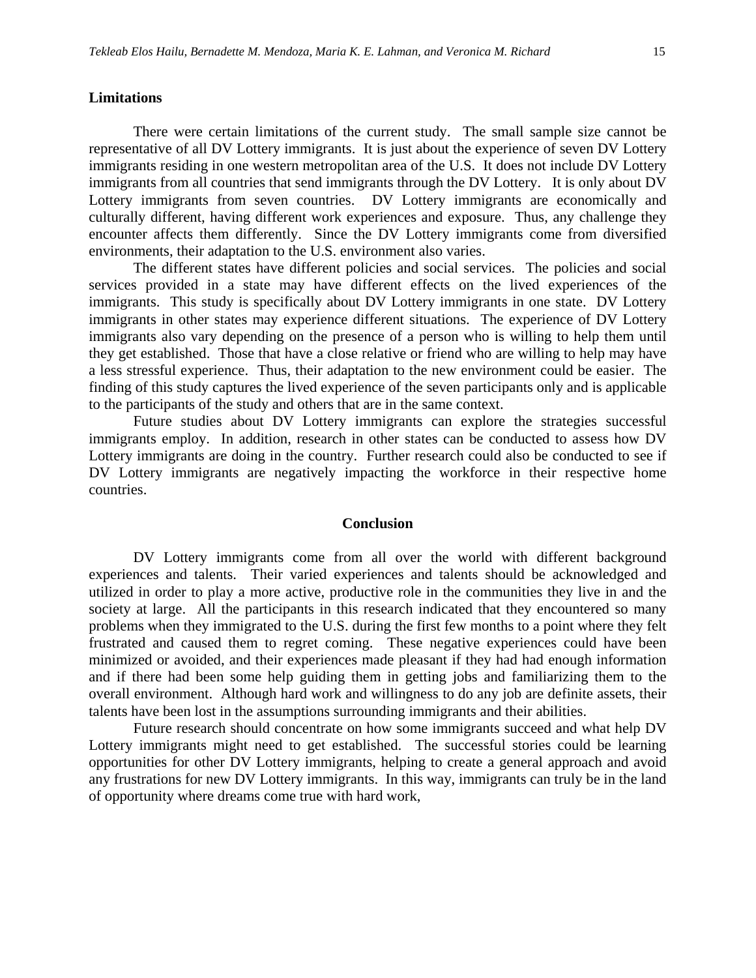#### **Limitations**

There were certain limitations of the current study. The small sample size cannot be representative of all DV Lottery immigrants. It is just about the experience of seven DV Lottery immigrants residing in one western metropolitan area of the U.S. It does not include DV Lottery immigrants from all countries that send immigrants through the DV Lottery. It is only about DV Lottery immigrants from seven countries. DV Lottery immigrants are economically and culturally different, having different work experiences and exposure. Thus, any challenge they encounter affects them differently. Since the DV Lottery immigrants come from diversified environments, their adaptation to the U.S. environment also varies.

The different states have different policies and social services. The policies and social services provided in a state may have different effects on the lived experiences of the immigrants. This study is specifically about DV Lottery immigrants in one state. DV Lottery immigrants in other states may experience different situations. The experience of DV Lottery immigrants also vary depending on the presence of a person who is willing to help them until they get established. Those that have a close relative or friend who are willing to help may have a less stressful experience. Thus, their adaptation to the new environment could be easier. The finding of this study captures the lived experience of the seven participants only and is applicable to the participants of the study and others that are in the same context.

Future studies about DV Lottery immigrants can explore the strategies successful immigrants employ. In addition, research in other states can be conducted to assess how DV Lottery immigrants are doing in the country. Further research could also be conducted to see if DV Lottery immigrants are negatively impacting the workforce in their respective home countries.

#### **Conclusion**

DV Lottery immigrants come from all over the world with different background experiences and talents. Their varied experiences and talents should be acknowledged and utilized in order to play a more active, productive role in the communities they live in and the society at large. All the participants in this research indicated that they encountered so many problems when they immigrated to the U.S. during the first few months to a point where they felt frustrated and caused them to regret coming. These negative experiences could have been minimized or avoided, and their experiences made pleasant if they had had enough information and if there had been some help guiding them in getting jobs and familiarizing them to the overall environment. Although hard work and willingness to do any job are definite assets, their talents have been lost in the assumptions surrounding immigrants and their abilities.

Future research should concentrate on how some immigrants succeed and what help DV Lottery immigrants might need to get established. The successful stories could be learning opportunities for other DV Lottery immigrants, helping to create a general approach and avoid any frustrations for new DV Lottery immigrants. In this way, immigrants can truly be in the land of opportunity where dreams come true with hard work,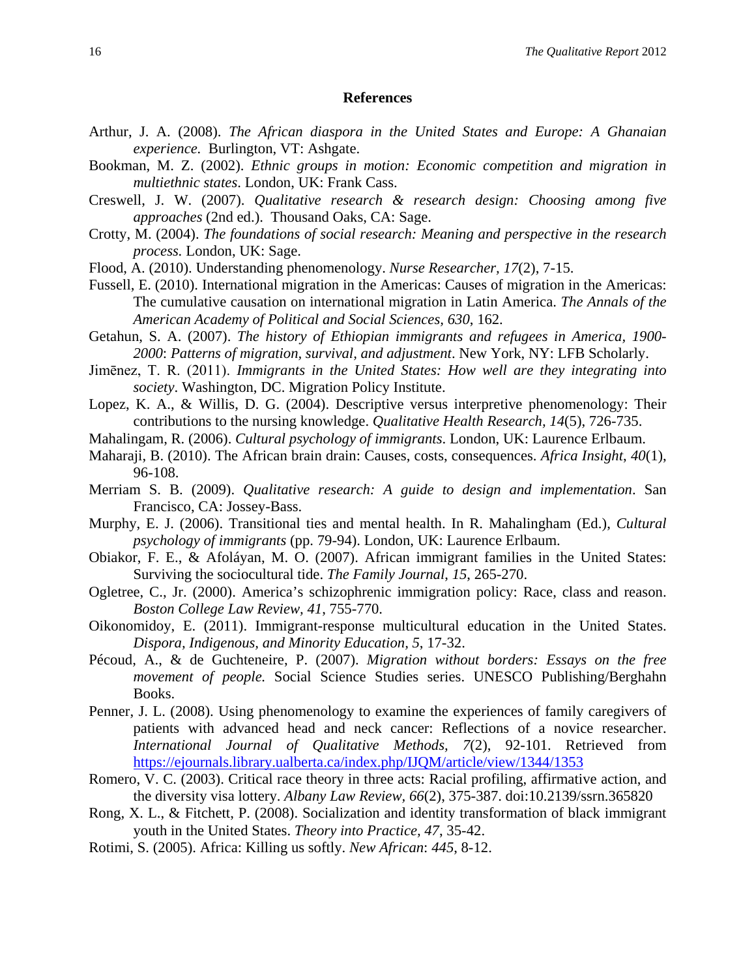#### **References**

- Arthur, J. A. (2008). *The African diaspora in the United States and Europe: A Ghanaian experience.* Burlington, VT: Ashgate.
- Bookman, M. Z. (2002). *Ethnic groups in motion: Economic competition and migration in multiethnic states*. London, UK: Frank Cass.
- Creswell, J. W. (2007). *Qualitative research & research design: Choosing among five approaches* (2nd ed.). Thousand Oaks, CA: Sage.
- Crotty, M. (2004). *The foundations of social research: Meaning and perspective in the research process.* London, UK: Sage.
- Flood, A. (2010). Understanding phenomenology. *Nurse Researcher, 17*(2), 7-15.
- Fussell, E. (2010). International migration in the Americas: Causes of migration in the Americas: The cumulative causation on international migration in Latin America. *The Annals of the American Academy of Political and Social Sciences, 630*, 162.
- Getahun, S. A. (2007). *The history of Ethiopian immigrants and refugees in America, 1900- 2000*: *Patterns of migration, survival, and adjustment*. New York, NY: LFB Scholarly.
- Jimēnez, T. R. (2011). *Immigrants in the United States: How well are they integrating into society*. Washington, DC. Migration Policy Institute.
- Lopez, K. A., & Willis, D. G. (2004). Descriptive versus interpretive phenomenology: Their contributions to the nursing knowledge. *Qualitative Health Research, 14*(5), 726-735.
- Mahalingam, R. (2006). *Cultural psychology of immigrants*. London, UK: Laurence Erlbaum.
- Maharaji, B. (2010). The African brain drain: Causes, costs, consequences. *Africa Insight*, *40*(1), 96-108.
- Merriam S. B. (2009). *Qualitative research: A guide to design and implementation*. San Francisco, CA: Jossey-Bass.
- Murphy, E. J. (2006). Transitional ties and mental health. In R. Mahalingham (Ed.), *Cultural psychology of immigrants* (pp. 79-94). London, UK: Laurence Erlbaum.
- Obiakor, F. E., & Afoláyan, M. O. (2007). African immigrant families in the United States: Surviving the sociocultural tide. *The Family Journal*, *15*, 265-270.
- Ogletree, C., Jr. (2000). America's schizophrenic immigration policy: Race, class and reason. *Boston College Law Review, 41*, 755-770.
- Oikonomidoy, E. (2011). Immigrant-response multicultural education in the United States. *Dispora, Indigenous, and Minority Education, 5*, 17-32.
- Pécoud, A., & de Guchteneire, P. (2007). *Migration without borders: Essays on the free movement of people.* Social Science Studies series. UNESCO Publishing/Berghahn Books.
- Penner, J. L. (2008). Using phenomenology to examine the experiences of family caregivers of patients with advanced head and neck cancer: Reflections of a novice researcher. *International Journal of Qualitative Methods, 7*(2), 92-101. Retrieved from <https://ejournals.library.ualberta.ca/index.php/IJQM/article/view/1344/1353>
- Romero, V. C. (2003). Critical race theory in three acts: Racial profiling, affirmative action, and the diversity visa lottery. *Albany Law Review, 66*(2), 375-387. doi:10.2139/ssrn.365820
- Rong, X. L., & Fitchett, P. (2008). Socialization and identity transformation of black immigrant youth in the United States. *Theory into Practice, 47*, 35-42.
- Rotimi, S. (2005). Africa: Killing us softly. *New African*: *445*, 8-12.